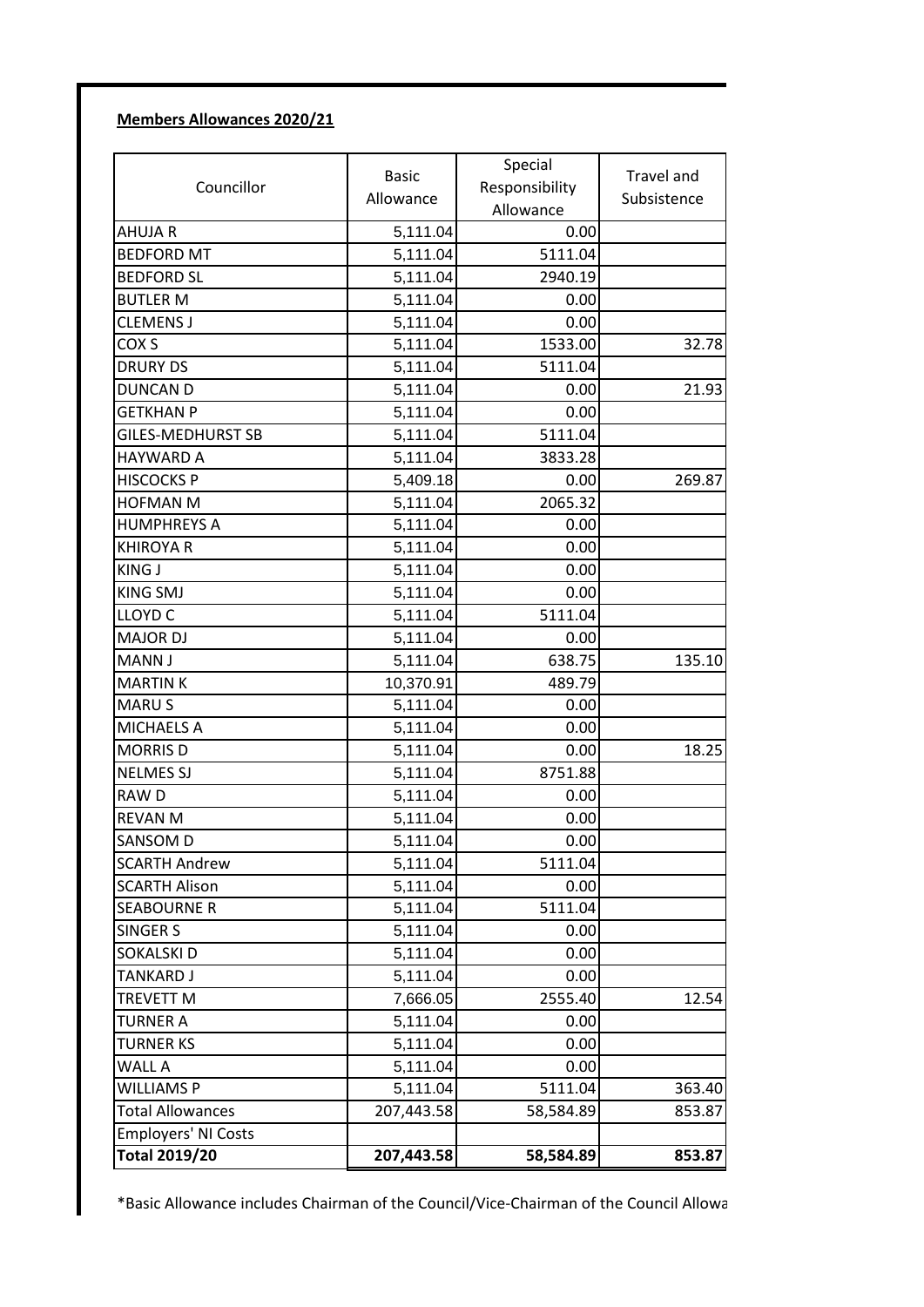## **Members Allowances 2020/21**

| Councillor               | <b>Basic</b><br>Allowance | Special<br>Responsibility<br>Allowance | <b>Travel and</b><br>Subsistence |
|--------------------------|---------------------------|----------------------------------------|----------------------------------|
| <b>AHUJA R</b>           | 5,111.04                  | 0.00                                   |                                  |
| <b>BEDFORD MT</b>        | 5,111.04                  | 5111.04                                |                                  |
| <b>BEDFORD SL</b>        | 5,111.04                  | 2940.19                                |                                  |
| <b>BUTLER M</b>          | 5,111.04                  | 0.00                                   |                                  |
| <b>CLEMENS J</b>         | 5,111.04                  | 0.00                                   |                                  |
| COX <sub>S</sub>         | 5,111.04                  | 1533.00                                | 32.78                            |
| <b>DRURY DS</b>          | 5,111.04                  | 5111.04                                |                                  |
| <b>DUNCAN D</b>          | 5,111.04                  | 0.00                                   | 21.93                            |
| <b>GETKHAN P</b>         | 5,111.04                  | 0.00                                   |                                  |
| <b>GILES-MEDHURST SB</b> | 5,111.04                  | 5111.04                                |                                  |
| <b>HAYWARD A</b>         | 5,111.04                  | 3833.28                                |                                  |
| <b>HISCOCKS P</b>        | 5,409.18                  | 0.00                                   | 269.87                           |
| <b>HOFMAN M</b>          | 5,111.04                  | 2065.32                                |                                  |
| <b>HUMPHREYS A</b>       | 5,111.04                  | 0.00                                   |                                  |
| <b>KHIROYA R</b>         | 5,111.04                  | 0.00                                   |                                  |
| KING J                   | 5,111.04                  | 0.00                                   |                                  |
| <b>KING SMJ</b>          | 5,111.04                  | 0.00                                   |                                  |
| <b>LLOYD C</b>           | 5,111.04                  | 5111.04                                |                                  |
| <b>MAJOR DJ</b>          | 5,111.04                  | 0.00                                   |                                  |
| <b>MANN J</b>            | 5,111.04                  | 638.75                                 | 135.10                           |
| <b>MARTINK</b>           | 10,370.91                 | 489.79                                 |                                  |
| <b>MARUS</b>             | 5,111.04                  | 0.00                                   |                                  |
| MICHAELS A               | 5,111.04                  | 0.00                                   |                                  |
| <b>MORRIS D</b>          | 5,111.04                  | 0.00                                   | 18.25                            |
| <b>NELMES SJ</b>         | 5,111.04                  | 8751.88                                |                                  |
| RAW D                    | 5,111.04                  | 0.00                                   |                                  |
| <b>REVAN M</b>           | 5,111.04                  | 0.00                                   |                                  |
| SANSOM D                 | 5,111.04                  | 0.00                                   |                                  |
| <b>SCARTH Andrew</b>     | 5,111.04                  | 5111.04                                |                                  |
| <b>SCARTH Alison</b>     | 5,111.04                  | 0.00                                   |                                  |
| <b>SEABOURNE R</b>       | 5,111.04                  | 5111.04                                |                                  |
| SINGER S                 | 5,111.04                  | 0.00                                   |                                  |
| SOKALSKI D               | 5,111.04                  | 0.00                                   |                                  |
| TANKARD J                | 5,111.04                  | 0.00                                   |                                  |
| TREVETT M                | 7,666.05                  | 2555.40                                | 12.54                            |
| <b>TURNER A</b>          | 5,111.04                  | 0.00                                   |                                  |
| <b>TURNER KS</b>         | 5,111.04                  | 0.00                                   |                                  |
| WALL A                   | 5,111.04                  | 0.00                                   |                                  |
| <b>WILLIAMS P</b>        | 5,111.04                  | 5111.04                                | 363.40                           |
| <b>Total Allowances</b>  | 207,443.58                | 58,584.89                              | 853.87                           |
| Employers' NI Costs      |                           |                                        |                                  |
| <b>Total 2019/20</b>     | 207,443.58                | 58,584.89                              | 853.87                           |

\*Basic Allowance includes Chairman of the Council/Vice-Chairman of the Council Allowance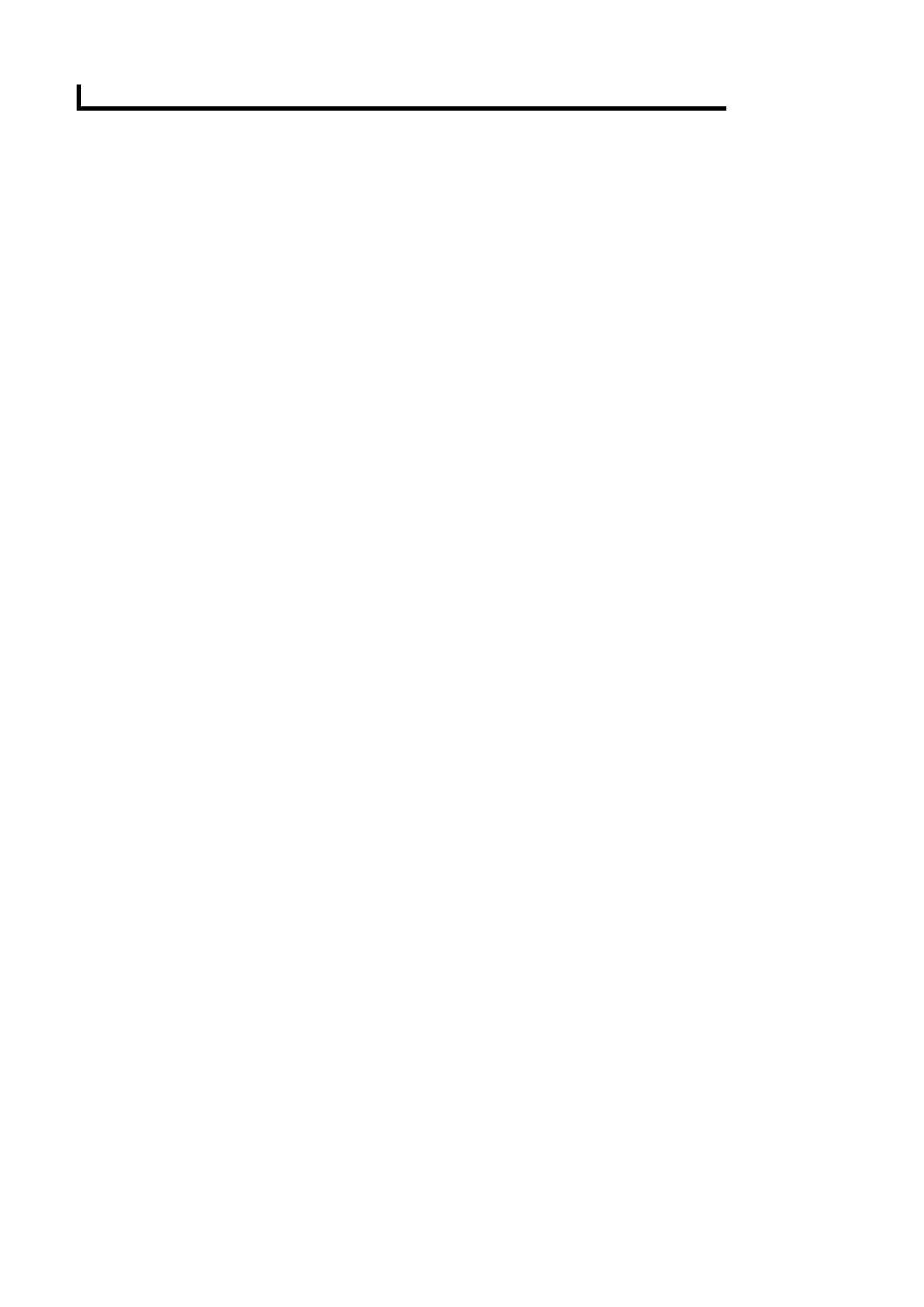$\blacksquare$